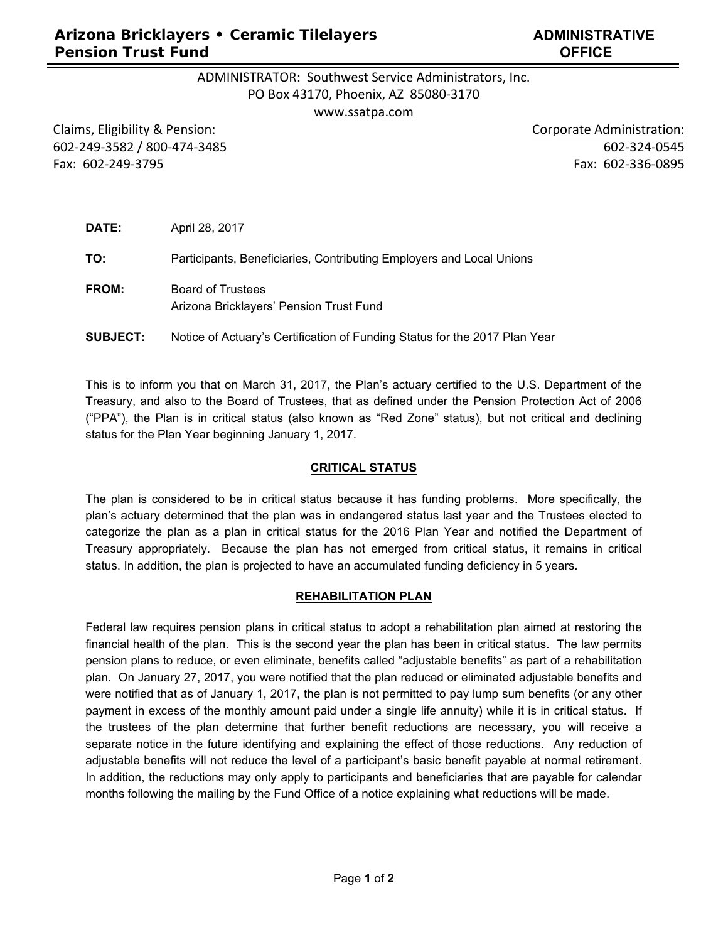# **Arizona Bricklayers • Ceramic Tilelayers Pension Trust Fund**

# ADMINISTRATOR: Southwest Service Administrators, Inc. PO Box 43170, Phoenix, AZ 85080‐3170

www.ssatpa.com

Claims, Eligibility & Pension: Claims, Eligibility & Pension: Corporate Administration: 602‐249‐3582 / 800‐474‐3485 602‐324‐0545 Fax: 602‐249‐3795 Fax: 602‐336‐0895

| DATE:           | April 28, 2017                                                             |
|-----------------|----------------------------------------------------------------------------|
| TO:             | Participants, Beneficiaries, Contributing Employers and Local Unions       |
| FROM:           | <b>Board of Trustees</b><br>Arizona Bricklayers' Pension Trust Fund        |
| <b>SUBJECT:</b> | Notice of Actuary's Certification of Funding Status for the 2017 Plan Year |

This is to inform you that on March 31, 2017, the Plan's actuary certified to the U.S. Department of the Treasury, and also to the Board of Trustees, that as defined under the Pension Protection Act of 2006 ("PPA"), the Plan is in critical status (also known as "Red Zone" status), but not critical and declining status for the Plan Year beginning January 1, 2017.

#### **CRITICAL STATUS**

The plan is considered to be in critical status because it has funding problems. More specifically, the plan's actuary determined that the plan was in endangered status last year and the Trustees elected to categorize the plan as a plan in critical status for the 2016 Plan Year and notified the Department of Treasury appropriately. Because the plan has not emerged from critical status, it remains in critical status. In addition, the plan is projected to have an accumulated funding deficiency in 5 years.

#### **REHABILITATION PLAN**

Federal law requires pension plans in critical status to adopt a rehabilitation plan aimed at restoring the financial health of the plan. This is the second year the plan has been in critical status. The law permits pension plans to reduce, or even eliminate, benefits called "adjustable benefits" as part of a rehabilitation plan. On January 27, 2017, you were notified that the plan reduced or eliminated adjustable benefits and were notified that as of January 1, 2017, the plan is not permitted to pay lump sum benefits (or any other payment in excess of the monthly amount paid under a single life annuity) while it is in critical status. If the trustees of the plan determine that further benefit reductions are necessary, you will receive a separate notice in the future identifying and explaining the effect of those reductions. Any reduction of adjustable benefits will not reduce the level of a participant's basic benefit payable at normal retirement. In addition, the reductions may only apply to participants and beneficiaries that are payable for calendar months following the mailing by the Fund Office of a notice explaining what reductions will be made.